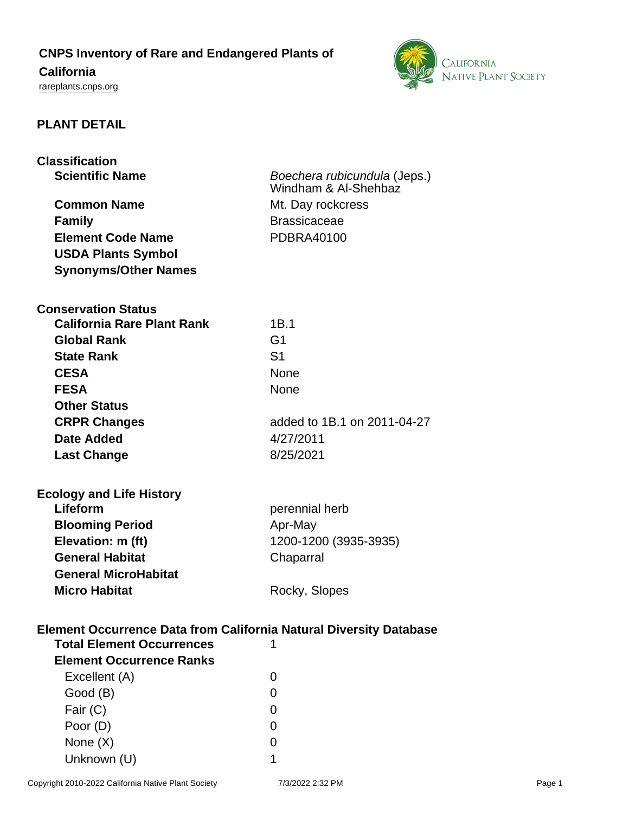## **CNPS Inventory of Rare and Endangered Plants of**

# **California**

<rareplants.cnps.org>



#### **PLANT DETAIL**

| <b>Classification</b><br><b>Scientific Name</b><br><b>Common Name</b><br><b>Family</b><br><b>Element Code Name</b><br><b>USDA Plants Symbol</b><br><b>Synonyms/Other Names</b> | Boechera rubicundula (Jeps.)<br>Windham & Al-Shehbaz<br>Mt. Day rockcress<br><b>Brassicaceae</b><br><b>PDBRA40100</b> |
|--------------------------------------------------------------------------------------------------------------------------------------------------------------------------------|-----------------------------------------------------------------------------------------------------------------------|
| <b>Conservation Status</b>                                                                                                                                                     |                                                                                                                       |
| <b>California Rare Plant Rank</b>                                                                                                                                              | 1B.1                                                                                                                  |
| <b>Global Rank</b>                                                                                                                                                             | G <sub>1</sub>                                                                                                        |
| <b>State Rank</b>                                                                                                                                                              | S <sub>1</sub>                                                                                                        |
| <b>CESA</b>                                                                                                                                                                    | <b>None</b>                                                                                                           |
| <b>FESA</b>                                                                                                                                                                    | None                                                                                                                  |
| <b>Other Status</b>                                                                                                                                                            |                                                                                                                       |
| <b>CRPR Changes</b>                                                                                                                                                            | added to 1B.1 on 2011-04-27                                                                                           |
| <b>Date Added</b>                                                                                                                                                              | 4/27/2011                                                                                                             |
| <b>Last Change</b>                                                                                                                                                             | 8/25/2021                                                                                                             |
| <b>Ecology and Life History</b>                                                                                                                                                |                                                                                                                       |
| Lifeform                                                                                                                                                                       | perennial herb                                                                                                        |
| <b>Blooming Period</b>                                                                                                                                                         | Apr-May                                                                                                               |
| Elevation: m (ft)                                                                                                                                                              | 1200-1200 (3935-3935)                                                                                                 |
| <b>General Habitat</b>                                                                                                                                                         | Chaparral                                                                                                             |
| <b>General MicroHabitat</b>                                                                                                                                                    |                                                                                                                       |
| <b>Micro Habitat</b>                                                                                                                                                           | Rocky, Slopes                                                                                                         |
| <b>Element Occurrence Data from California Natural Diversity Database</b><br><b>Total Element Occurrences</b>                                                                  | 1                                                                                                                     |
| <b>Element Occurrence Ranks</b>                                                                                                                                                |                                                                                                                       |
| Excellent (A)                                                                                                                                                                  | 0                                                                                                                     |
| Good (B)                                                                                                                                                                       | 0                                                                                                                     |
| Fair (C)                                                                                                                                                                       | 0                                                                                                                     |
| Poor (D)                                                                                                                                                                       | 0                                                                                                                     |
| None $(X)$                                                                                                                                                                     | O                                                                                                                     |
| Unknown (U)                                                                                                                                                                    |                                                                                                                       |